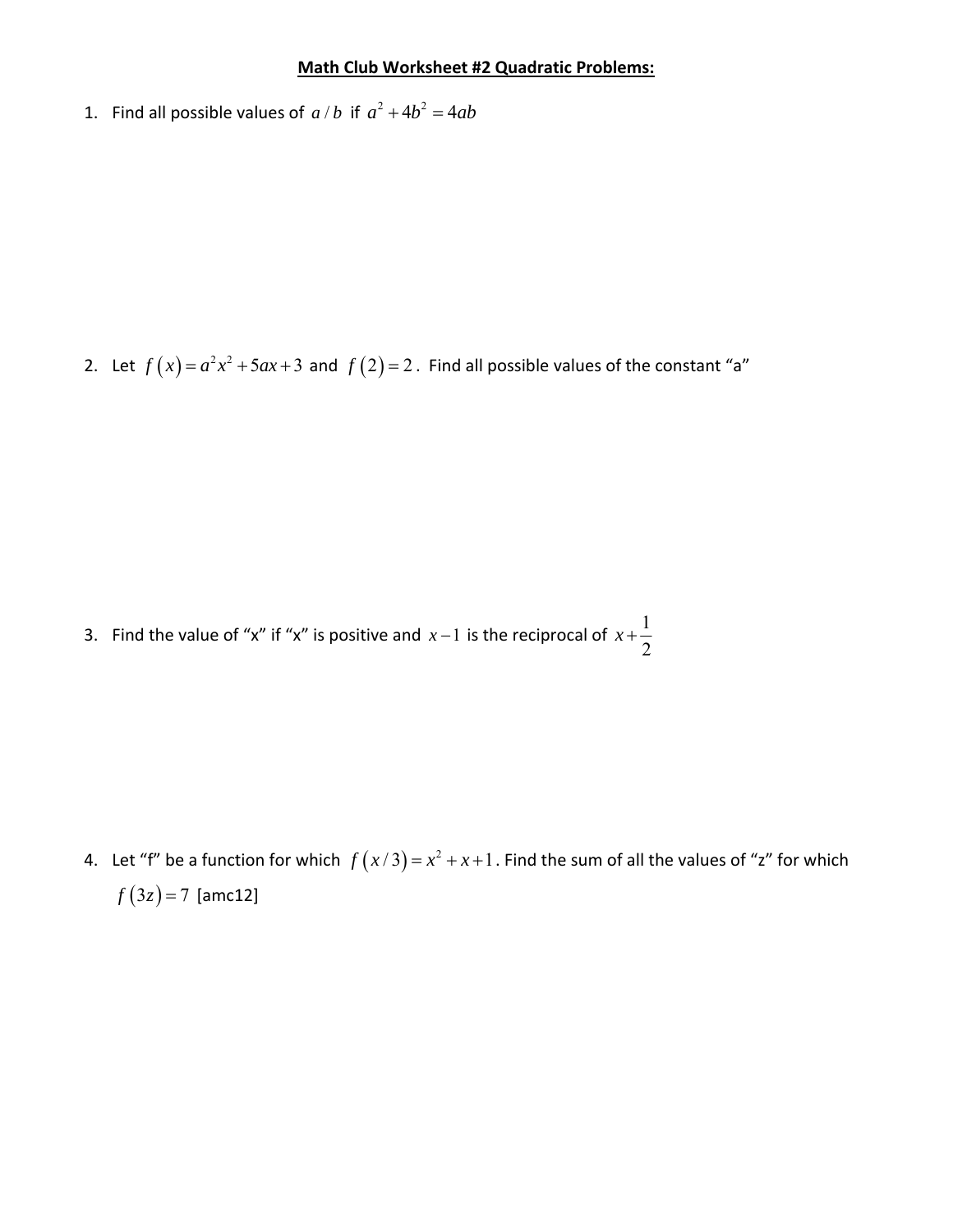## **Math Club Worksheet #2 Quadratic Problems:**

1. Find all possible values of  $a/b$  if  $a^2 + 4b^2 = 4ab$ 

2. Let  $f(x) = a^2x^2 + 5ax + 3$  and  $f(2) = 2$ . Find all possible values of the constant "a"

3. Find the value of "x" if "x" is positive and  $x-1$  is the reciprocal of  $x+\frac{1}{2}$ 2 *x*

4. Let "f" be a function for which  $f(x/3) = x^2 + x + 1$ . Find the sum of all the values of "z" for which  $f(3z) = 7$  [amc12]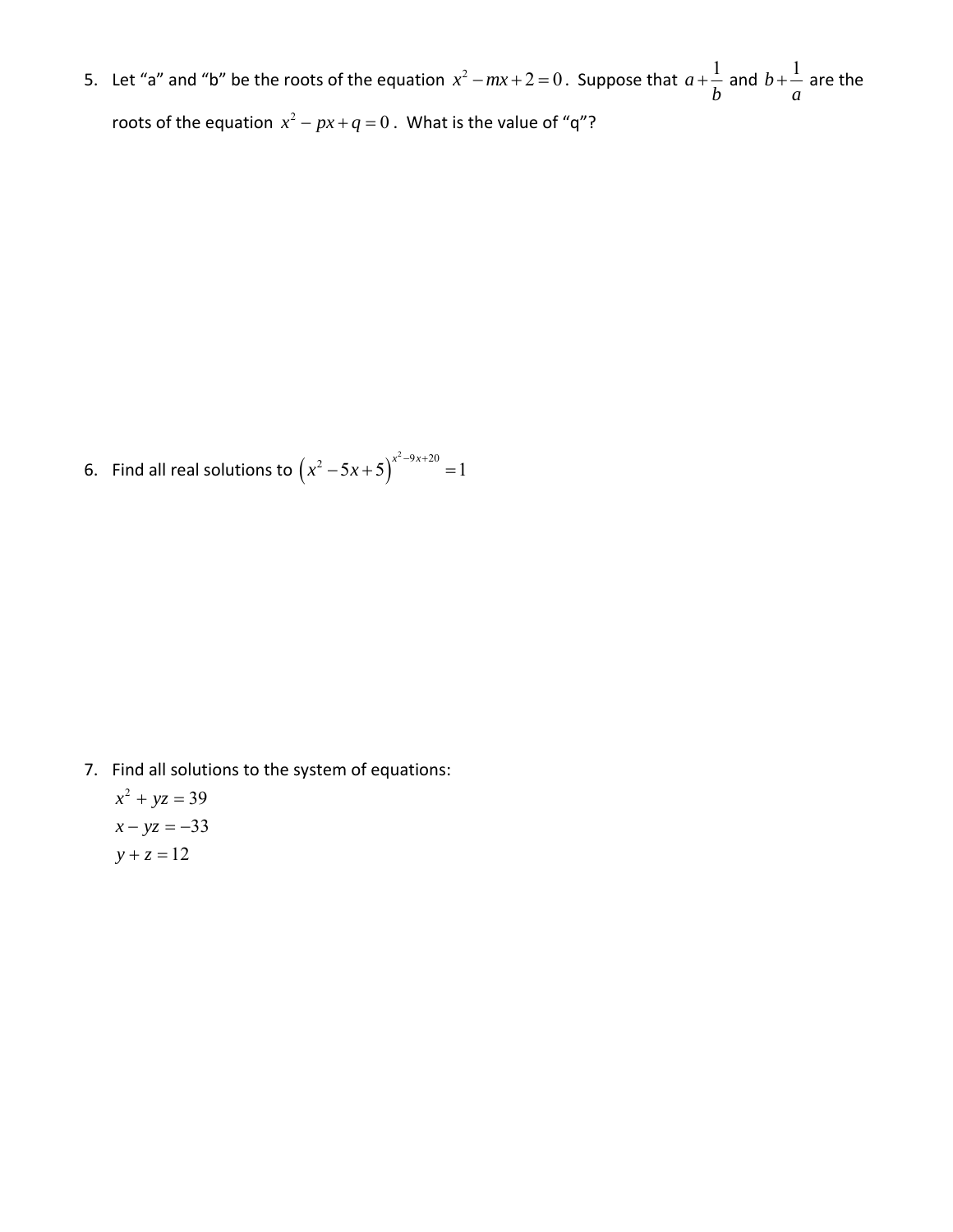5. Let "a" and "b" be the roots of the equation  $x^2 - mx + 2 = 0$ . Suppose that  $a + \frac{1}{b}$ *b*  $+\frac{1}{1}$  and  $b+\frac{1}{1}$ *a*  $+-$  are the roots of the equation  $x^2 - px + q = 0$ . What is the value of "q"?

6. Find all real solutions to  $(x^2 - 5x + 5)^{x^2 - 9x + 20} = 1$ 

7. Find all solutions to the system of equations:

 $x^2 + yz = 39$  $x - yz = -33$  $y + z = 12$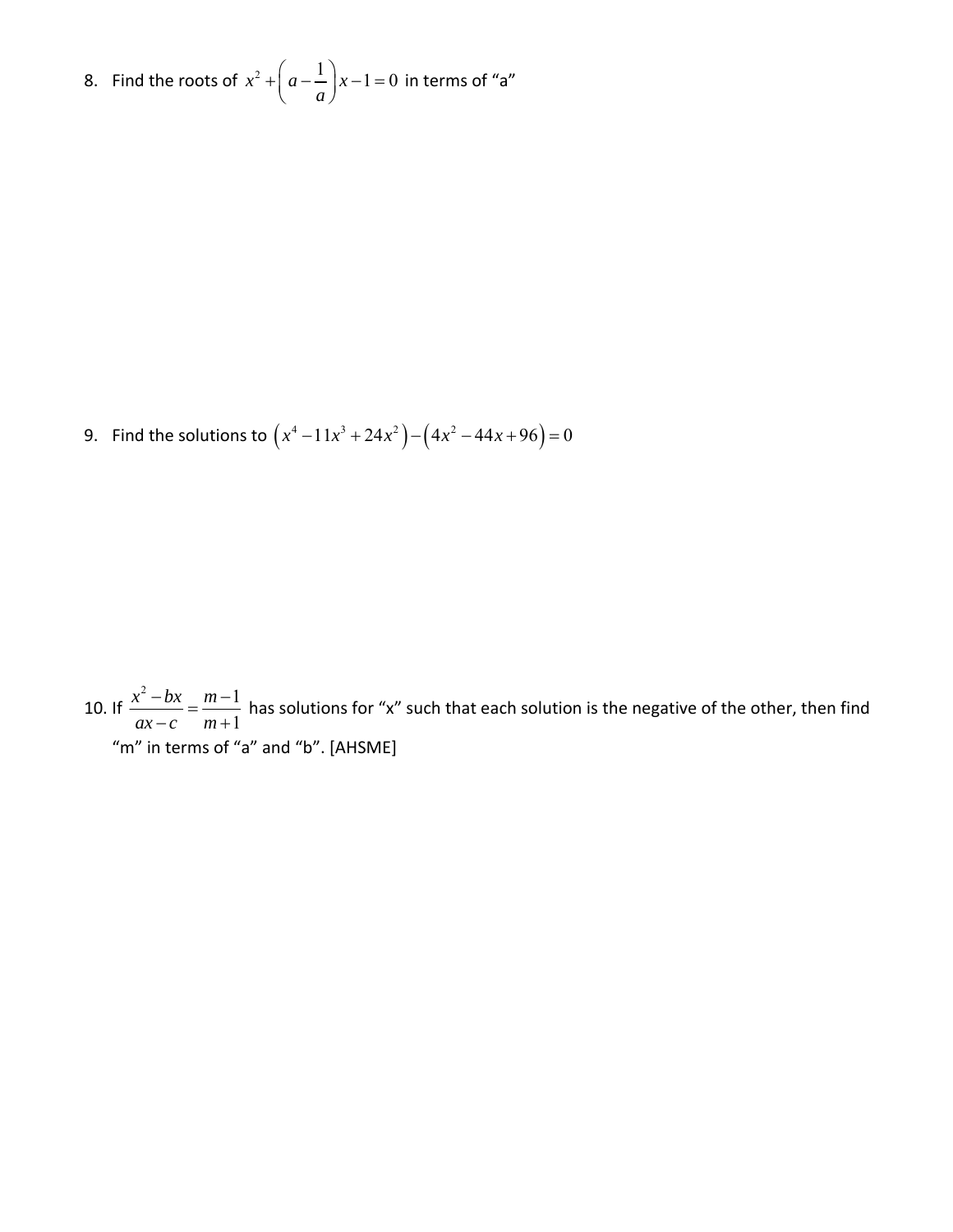8. Find the roots of  $x^2 + \left( a - \frac{1}{2} \right) x - 1 = 0$  $+\left(a-\frac{1}{a}\right)x-1=0$  in terms of "a"

9. Find the solutions to  $(x^4 - 11x^3 + 24x^2) - (4x^2 - 44x + 96) = 0$ 

10. If  $2 - bx$   $m-1$ 1  $x^2 - bx$  *m*  $\frac{x^2 - bx}{ax - c} = \frac{m - c}{m + c}$ has solutions for "x" such that each solution is the negative of the other, then find "m" in terms of "a" and "b". [AHSME]